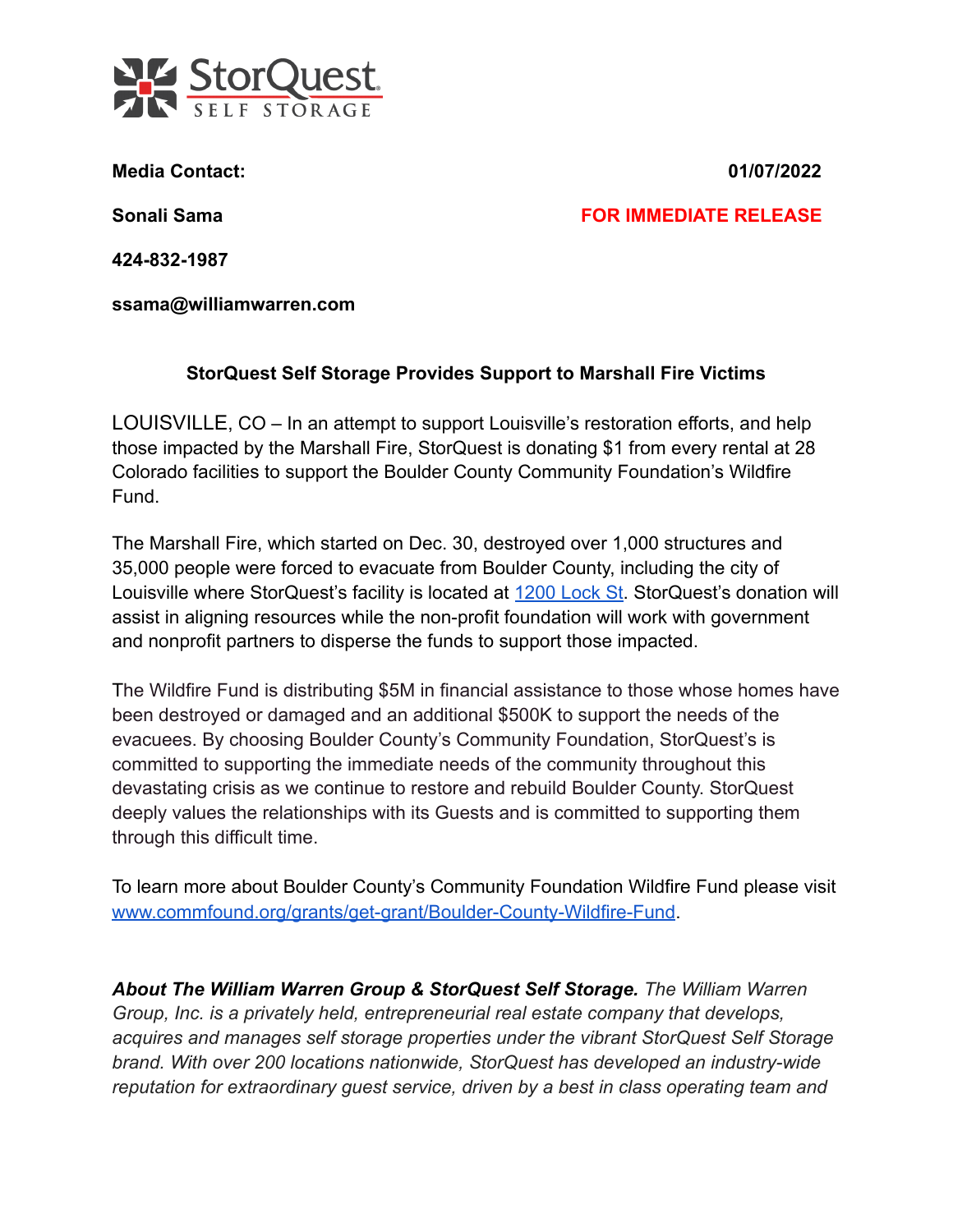

**Media Contact: 01/07/2022**

**Sonali Sama FOR IMMEDIATE RELEASE**

**424-832-1987**

**ssama@williamwarren.com**

## **StorQuest Self Storage Provides Support to Marshall Fire Victims**

LOUISVILLE, CO – In an attempt to support Louisville's restoration efforts, and help those impacted by the Marshall Fire, StorQuest is donating \$1 from every rental at 28 Colorado facilities to support the Boulder County Community Foundation's Wildfire Fund.

The Marshall Fire, which started on Dec. 30, destroyed over 1,000 structures and 35,000 people were forced to evacuate from Boulder County, including the city of Louisville where StorQuest's facility is located at [1200 Lock St.](https://www.storquest.com/self-storage/co/louisville/9006/) StorQuest's donation will assist in aligning resources while the non-profit foundation will work with government and nonprofit partners to disperse the funds to support those impacted.

The Wildfire Fund is distributing \$5M in financial assistance to those whose homes have been destroyed or damaged and an additional \$500K to support the needs of the evacuees. By choosing Boulder County's Community Foundation, StorQuest's is committed to supporting the immediate needs of the community throughout this devastating crisis as we continue to restore and rebuild Boulder County. StorQuest deeply values the relationships with its Guests and is committed to supporting them through this difficult time.

To learn more about Boulder County's Community Foundation Wildfire Fund please visit [www.commfound.org/grants/get-grant/Boulder-County-Wildfire-Fund](http://www.commfound.org/grants/get-grant/Boulder-County-Wildfire-Fund).

*About The William Warren Group & StorQuest Self Storage. The William Warren Group, Inc. is a privately held, entrepreneurial real estate company that develops, acquires and manages self storage properties under the vibrant StorQuest Self Storage brand. With over 200 locations nationwide, StorQuest has developed an industry-wide reputation for extraordinary guest service, driven by a best in class operating team and*